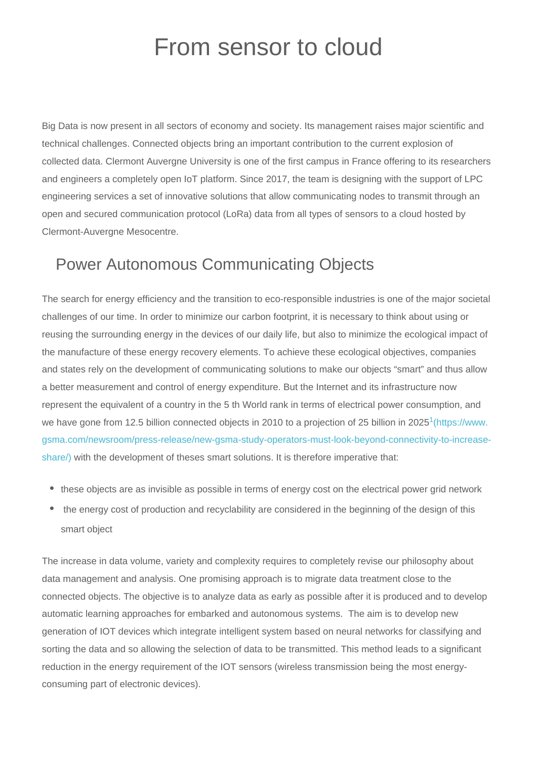## From sensor to cloud

Big Data is now present in all sectors of economy and society. Its management raises major scientific and technical challenges. Connected objects bring an important contribution to the current explosion of collected data. Clermont Auvergne University is one of the first campus in France offering to its researchers and engineers a completely open IoT platform. Since 2017, the team is designing with the support of LPC engineering services a set of innovative solutions that allow communicating nodes to transmit through an open and secured communication protocol (LoRa) data from all types of sensors to a cloud hosted by Clermont-Auvergne Mesocentre.

## Power Autonomous Communicating Objects

The search for energy efficiency and the transition to eco-responsible industries is one of the major societal challenges of our time. In order to minimize our carbon footprint, it is necessary to think about using or reusing the surrounding energy in the devices of our daily life, but also to minimize the ecological impact of the manufacture of these energy recovery elements. To achieve these ecological objectives, companies and states rely on the development of communicating solutions to make our objects "smart" and thus allow a better measurement and control of energy expenditure. But the Internet and its infrastructure now represent the equivalent of a country in the 5 th World rank in terms of electrical power consumption, and we have gone from 12.5 billion connected objects in 2010 to a projection of 25 billion in 2025<sup>1</sup> [\(https://www.](https://www.gsma.com/newsroom/press-release/new-gsma-study-operators-must-look-beyond-connectivity-to-increase-share/) [gsma.com/newsroom/press-release/new-gsma-study-operators-must-look-beyond-connectivity-to-increase](https://www.gsma.com/newsroom/press-release/new-gsma-study-operators-must-look-beyond-connectivity-to-increase-share/)[share/\)](https://www.gsma.com/newsroom/press-release/new-gsma-study-operators-must-look-beyond-connectivity-to-increase-share/) with the development of theses smart solutions. It is therefore imperative that:

- these objects are as invisible as possible in terms of energy cost on the electrical power grid network
- the energy cost of production and recyclability are considered in the beginning of the design of this smart object

The increase in data volume, variety and complexity requires to completely revise our philosophy about data management and analysis. One promising approach is to migrate data treatment close to the connected objects. The objective is to analyze data as early as possible after it is produced and to develop automatic learning approaches for embarked and autonomous systems. The aim is to develop new generation of IOT devices which integrate intelligent system based on neural networks for classifying and sorting the data and so allowing the selection of data to be transmitted. This method leads to a significant reduction in the energy requirement of the IOT sensors (wireless transmission being the most energyconsuming part of electronic devices).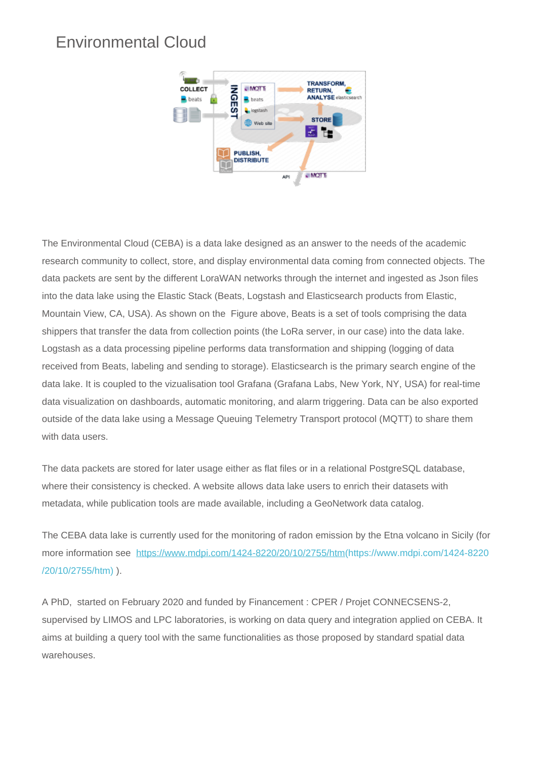## Environmental Cloud



The Environmental Cloud (CEBA) is a data lake designed as an answer to the needs of the academic research community to collect, store, and display environmental data coming from connected objects. The data packets are sent by the different LoraWAN networks through the internet and ingested as Json files into the data lake using the Elastic Stack (Beats, Logstash and Elasticsearch products from Elastic, Mountain View, CA, USA). As shown on the Figure above, Beats is a set of tools comprising the data shippers that transfer the data from collection points (the LoRa server, in our case) into the data lake. Logstash as a data processing pipeline performs data transformation and shipping (logging of data received from Beats, labeling and sending to storage). Elasticsearch is the primary search engine of the data lake. It is coupled to the vizualisation tool Grafana (Grafana Labs, New York, NY, USA) for real-time data visualization on dashboards, automatic monitoring, and alarm triggering. Data can be also exported outside of the data lake using a Message Queuing Telemetry Transport protocol (MQTT) to share them with data users.

The data packets are stored for later usage either as flat files or in a relational PostgreSQL database, where their consistency is checked. A website allows data lake users to enrich their datasets with metadata, while publication tools are made available, including a GeoNetwork data catalog.

The CEBA data lake is currently used for the monitoring of radon emission by the Etna volcano in Sicily (for more information see [https://www.mdpi.com/1424-8220/20/10/2755/htm\(https://www.mdpi.com/1424-8220](https://www.mdpi.com/1424-8220/20/10/2755/htm) [/20/10/2755/htm\)](https://www.mdpi.com/1424-8220/20/10/2755/htm) ).

A PhD, started on February 2020 and funded by Financement : CPER / Projet CONNECSENS-2, supervised by LIMOS and LPC laboratories, is working on data query and integration applied on CEBA. It aims at building a query tool with the same functionalities as those proposed by standard spatial data warehouses.